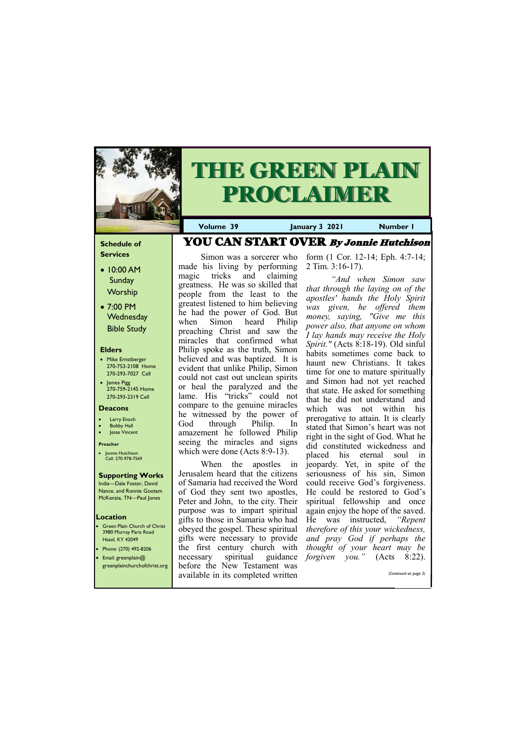## **Schedule of Services**

- 10:00 AM **Sunday Worship**
- 7:00 PM **Wednesday** Bible Study

## **Elders**

- Mike Ernstberger 270-753-2108 Home 270-293-7027 Cell
- James Pigg 270-759-2145 Home 270-293-2319 Cell

- **Green Plain Church of Christ** 3980 Murray Paris Road Hazel, KY 42049 • Phone: (270) 492-8206
- Email: greenplain@

## **Location**

Simon was a sorcerer who made his living by performing magic tricks and claiming greatness. He was so skilled that people from the least to the greatest listened to him believing he had the power of God. But when Simon heard Philip preaching Christ and saw the miracles that confirmed what Philip spoke as the truth, Simon believed and was baptized. It is evident that unlike Philip, Simon could not cast out unclean spirits or heal the paralyzed and the lame. His "tricks" could not compare to the genuine miracles he witnessed by the power of God through Philip. In amazement he followed Philip seeing the miracles and signs which were done (Acts 8:9-13).



# **THE GREEN PLAIN PROCLAIMER**

**Volume 39 January 3 2021 Number 1**

### **Deacons**

- **Larry Enoch**
- **Bobby Hall**
- Jesse Vincent

### **Preacher**

• Jonnie Hutchison Cell: 270-978-7569

## **Supporting Works**

India—Dale Foster, David Nance. and Ronnie Gootam McKenzie, TN—Paul Jones

When the apostles in Jerusalem heard that the citizens of Samaria had received the Word of God they sent two apostles, Peter and John, to the city. Their purpose was to impart spiritual gifts to those in Samaria who had obeyed the gospel. These spiritual gifts were necessary to provide the first century church with necessary spiritual guidance

| greenplainchurchofchrist.org before the New Testament was |  |  |                       |
|-----------------------------------------------------------|--|--|-----------------------|
| available in its completed written                        |  |  | (Continued on page 3) |
|                                                           |  |  |                       |

form (1 Cor. 12-14; Eph. 4:7-14; 2 Tim. 3:16-17).

*"And when Simon saw that through the laying on of the apostles' hands the Holy Spirit was given, he offered them money, saying, "Give me this power also, that anyone on whom I lay hands may receive the Holy Spirit."* (Acts 8:18-19). Old sinful habits sometimes come back to haunt new Christians. It takes time for one to mature spiritually and Simon had not yet reached that state. He asked for something that he did not understand and which was not within his prerogative to attain. It is clearly stated that Simon's heart was not right in the sight of God. What he did constituted wickedness and placed his eternal soul in jeopardy. Yet, in spite of the seriousness of his sin, Simon could receive God's forgiveness. He could be restored to God's spiritual fellowship and once again enjoy the hope of the saved. He was instructed, *"Repent therefore of this your wickedness, and pray God if perhaps the thought of your heart may be forgiven you."* (Acts 8:22).

YOU CAN START OVER By Jonnie Hutchison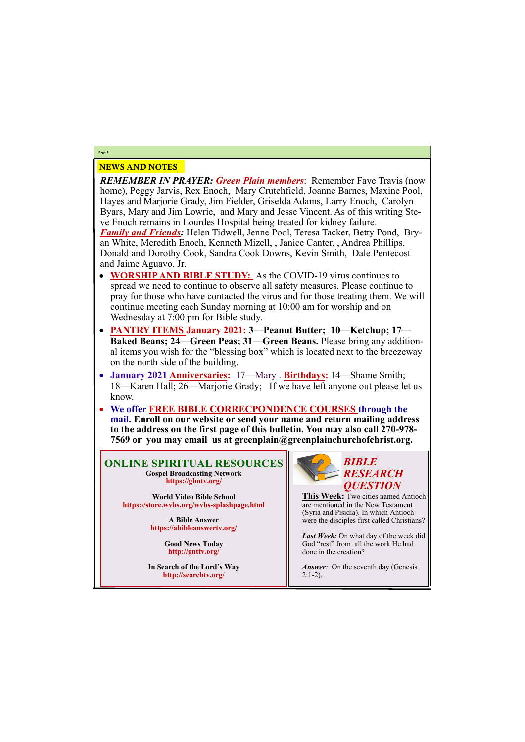## NEWS AND NOTES

*REMEMBER IN PRAYER: Green Plain members*: Remember Faye Travis (now home), Peggy Jarvis, Rex Enoch, Mary Crutchfield, Joanne Barnes, Maxine Pool, Hayes and Marjorie Grady, Jim Fielder, Griselda Adams, Larry Enoch, Carolyn Byars, Mary and Jim Lowrie, and Mary and Jesse Vincent. As of this writing Steve Enoch remains in Lourdes Hospital being treated for kidney failure.

*Family and Friends:* Helen Tidwell, Jenne Pool, Teresa Tacker, Betty Pond, Bryan White, Meredith Enoch, Kenneth Mizell, , Janice Canter, , Andrea Phillips, Donald and Dorothy Cook, Sandra Cook Downs, Kevin Smith, Dale Pentecost and Jaime Aguavo, Jr.

- **WORSHIP AND BIBLE STUDY:** As the COVID-19 virus continues to spread we need to continue to observe all safety measures. Please continue to pray for those who have contacted the virus and for those treating them. We will continue meeting each Sunday morning at 10:00 am for worship and on Wednesday at 7:00 pm for Bible study.
- **PANTRY ITEMS January 2021: 3—Peanut Butter; 10—Ketchup; 17— Baked Beans; 24—Green Peas; 31—Green Beans.** Please bring any additional items you wish for the "blessing box" which is located next to the breezeway on the north side of the building.
- **January 2021 Anniversaries:** 17—Mary . **Birthdays:** 14—Shame Smith; 18—Karen Hall; 26—Marjorie Grady; If we have left anyone out please let us know.
- **We offer FREE BIBLE CORRECPONDENCE COURSES through the mail. Enroll on our website or send your name and return mailing address to the address on the first page of this bulletin. You may also call 270-978- 7569 or you may email us at greenplain@greenplainchurchofchrist.org.**

**Page 2**

**ONLINE SPIRITUAL RESOURCES Gospel Broadcasting Network https://gbntv.org/**

**World Video Bible School https://store.wvbs.org/wvbs-splashpage.html**

> **A Bible Answer https://abibleanswertv.org/**

> > **Good News Today http://gnttv.org/**

**In Search of the Lord's Way http://searchtv.org/**

*Answer*: On the seventh day (Genesis  $2:1-2$ ).



**This Week:** Two cities named Antioch are mentioned in the New Testament (Syria and Pisidia). In which Antioch were the disciples first called Christians?

*Last Week:* On what day of the week did God "rest" from all the work He had done in the creation?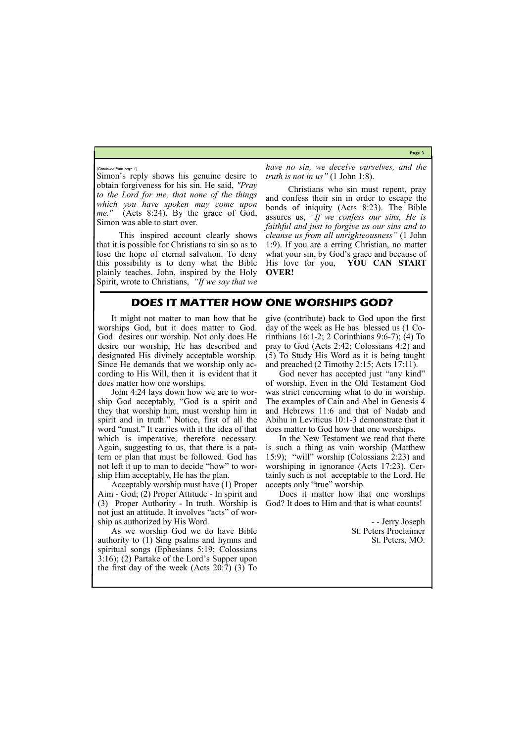**Page 3**

Simon's reply shows his genuine desire to obtain forgiveness for his sin. He said, *"Pray to the Lord for me, that none of the things which you have spoken may come upon me."* (Acts 8:24). By the grace of God, Simon was able to start over.

This inspired account clearly shows that it is possible for Christians to sin so as to lose the hope of eternal salvation. To deny this possibility is to deny what the Bible plainly teaches. John, inspired by the Holy Spirit, wrote to Christians, *"If we say that we*  *have no sin, we deceive ourselves, and the truth is not in us"* (1 John 1:8).

Christians who sin must repent, pray and confess their sin in order to escape the bonds of iniquity (Acts 8:23). The Bible assures us, *"If we confess our sins, He is faithful and just to forgive us our sins and to cleanse us from all unrighteousness"* (1 John 1:9). If you are a erring Christian, no matter what your sin, by God's grace and because of His love for you, **YOU CAN START OVER!**

#### *(Continued from page 1)*

## **DOES IT MATTER HOW ONE WORSHIPS GOD?**

It might not matter to man how that he worships God, but it does matter to God. God desires our worship. Not only does He desire our worship, He has described and designated His divinely acceptable worship. Since He demands that we worship only according to His Will, then it is evident that it does matter how one worships.

God never has accepted just "any kind" of worship. Even in the Old Testament God was strict concerning what to do in worship. The examples of Cain and Abel in Genesis 4 and Hebrews 11:6 and that of Nadab and Abihu in Leviticus 10:1-3 demonstrate that it does matter to God how that one worships.

John 4:24 lays down how we are to worship God acceptably, "God is a spirit and they that worship him, must worship him in spirit and in truth." Notice, first of all the word "must." It carries with it the idea of that which is imperative, therefore necessary. Again, suggesting to us, that there is a pattern or plan that must be followed. God has not left it up to man to decide "how" to worship Him acceptably, He has the plan.

Acceptably worship must have (1) Proper Aim - God; (2) Proper Attitude - In spirit and (3) Proper Authority - In truth. Worship is not just an attitude. It involves "acts" of worship as authorized by His Word.

As we worship God we do have Bible authority to (1) Sing psalms and hymns and spiritual songs (Ephesians 5:19; Colossians 3:16); (2) Partake of the Lord's Supper upon the first day of the week (Acts 20:7) (3) To

give (contribute) back to God upon the first day of the week as He has blessed us (1 Corinthians 16:1-2; 2 Corinthians 9:6-7); (4) To pray to God (Acts 2:42; Colossians 4:2) and (5) To Study His Word as it is being taught and preached (2 Timothy 2:15; Acts 17:11).

In the New Testament we read that there is such a thing as vain worship (Matthew 15:9); "will" worship (Colossians 2:23) and worshiping in ignorance (Acts 17:23). Certainly such is not acceptable to the Lord. He accepts only "true" worship.

Does it matter how that one worships God? It does to Him and that is what counts!

> - - Jerry Joseph St. Peters Proclaimer St. Peters, MO.